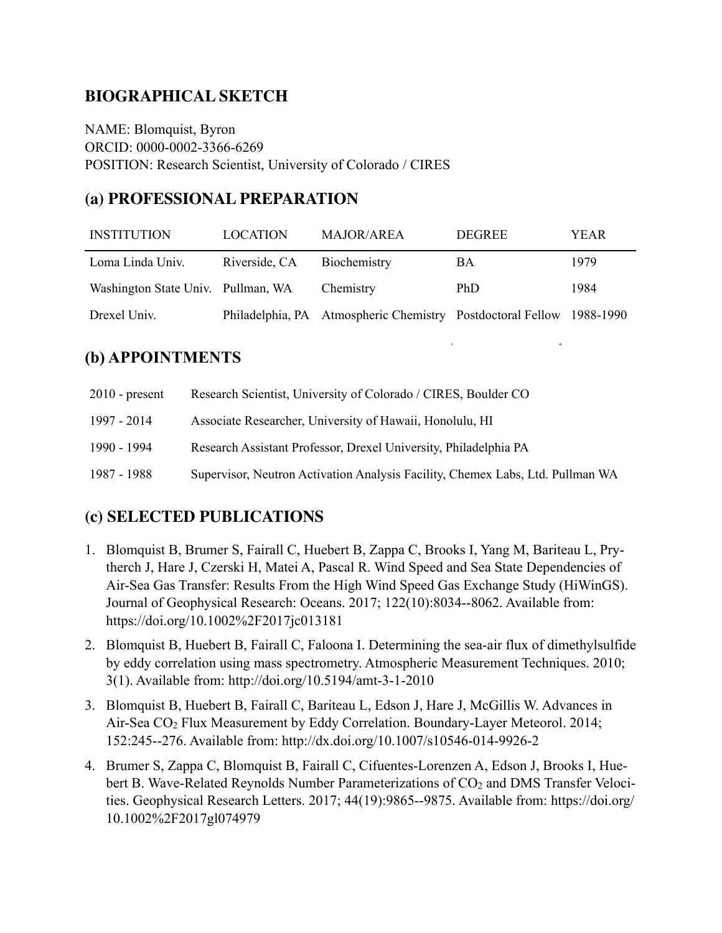## **BIOGRAPHICAL SKETCH**

NAME: Blomquist, Byron ORCID: 0000-0002-3366-6269 POSITION: Research Scientist, University of Colorado / CIRES

#### **(a) PROFESSIONAL PREPARATION**

| <b>INSTITUTION</b>                 | <b>LOCATION</b> | <b>MAJOR/AREA</b>                                                    | <b>DEGREE</b> | YEAR |
|------------------------------------|-----------------|----------------------------------------------------------------------|---------------|------|
| Loma Linda Univ.                   | Riverside, CA   | Biochemistry                                                         | BA            | 1979 |
| Washington State Univ. Pullman, WA |                 | Chemistry                                                            | PhD.          | 1984 |
| Drexel Univ.                       |                 | Philadelphia, PA Atmospheric Chemistry Postdoctoral Fellow 1988-1990 |               |      |

 $\epsilon$ 

### **(b) APPOINTMENTS**

| $2010$ - present | Research Scientist, University of Colorado / CIRES, Boulder CO                 |
|------------------|--------------------------------------------------------------------------------|
| 1997 - 2014      | Associate Researcher, University of Hawaii, Honolulu, HI                       |
| 1990 - 1994      | Research Assistant Professor, Drexel University, Philadelphia PA               |
| 1987 - 1988      | Supervisor, Neutron Activation Analysis Facility, Chemex Labs, Ltd. Pullman WA |

#### **(c) SELECTED PUBLICATIONS**

- 1. Blomquist B, Brumer S, Fairall C, Huebert B, Zappa C, Brooks I, Yang M, Bariteau L, Prytherch J, Hare J, Czerski H, Matei A, Pascal R. Wind Speed and Sea State Dependencies of Air-Sea Gas Transfer: Results From the High Wind Speed Gas Exchange Study (HiWinGS). Journal of Geophysical Research: Oceans. 2017; 122(10):8034--8062. Available from: https://doi.org/10.1002%2F2017jc013181
- 2. Blomquist B, Huebert B, Fairall C, Faloona I. Determining the sea-air flux of dimethylsulfide by eddy correlation using mass spectrometry. Atmospheric Measurement Techniques. 2010; 3(1). Available from: http://doi.org/10.5194/amt-3-1-2010
- 3. Blomquist B, Huebert B, Fairall C, Bariteau L, Edson J, Hare J, McGillis W. Advances in Air-Sea CO2 Flux Measurement by Eddy Correlation. Boundary-Layer Meteorol. 2014; 152:245--276. Available from: http://dx.doi.org/10.1007/s10546-014-9926-2
- 4. Brumer S, Zappa C, Blomquist B, Fairall C, Cifuentes-Lorenzen A, Edson J, Brooks I, Huebert B. Wave-Related Reynolds Number Parameterizations of CO<sub>2</sub> and DMS Transfer Velocities. Geophysical Research Letters. 2017; 44(19):9865--9875. Available from: https://doi.org/ 10.1002%2F2017gl074979